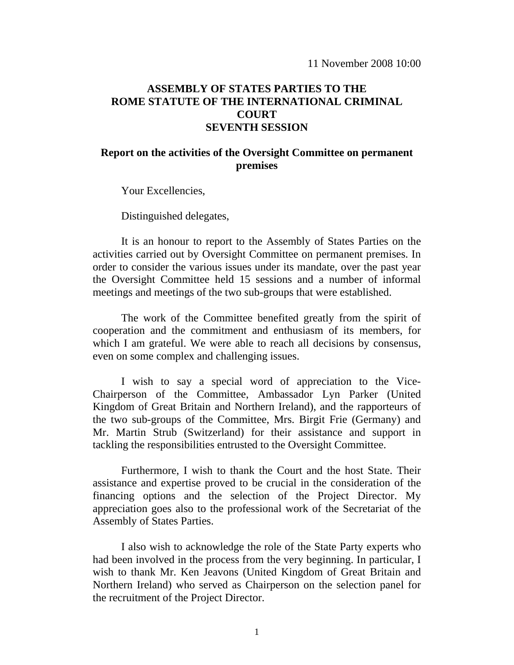## **ASSEMBLY OF STATES PARTIES TO THE ROME STATUTE OF THE INTERNATIONAL CRIMINAL COURT SEVENTH SESSION**

## **Report on the activities of the Oversight Committee on permanent premises**

Your Excellencies,

Distinguished delegates,

 It is an honour to report to the Assembly of States Parties on the activities carried out by Oversight Committee on permanent premises. In order to consider the various issues under its mandate, over the past year the Oversight Committee held 15 sessions and a number of informal meetings and meetings of the two sub-groups that were established.

 The work of the Committee benefited greatly from the spirit of cooperation and the commitment and enthusiasm of its members, for which I am grateful. We were able to reach all decisions by consensus, even on some complex and challenging issues.

I wish to say a special word of appreciation to the Vice-Chairperson of the Committee, Ambassador Lyn Parker (United Kingdom of Great Britain and Northern Ireland), and the rapporteurs of the two sub-groups of the Committee, Mrs. Birgit Frie (Germany) and Mr. Martin Strub (Switzerland) for their assistance and support in tackling the responsibilities entrusted to the Oversight Committee.

 Furthermore, I wish to thank the Court and the host State. Their assistance and expertise proved to be crucial in the consideration of the financing options and the selection of the Project Director. My appreciation goes also to the professional work of the Secretariat of the Assembly of States Parties.

 I also wish to acknowledge the role of the State Party experts who had been involved in the process from the very beginning. In particular, I wish to thank Mr. Ken Jeavons (United Kingdom of Great Britain and Northern Ireland) who served as Chairperson on the selection panel for the recruitment of the Project Director.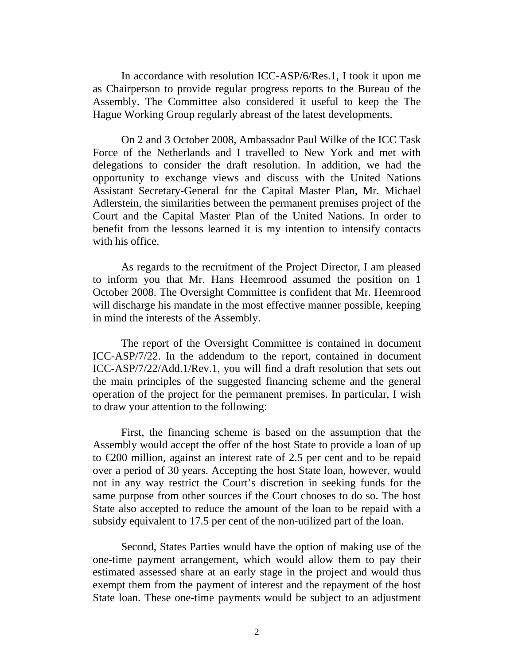In accordance with resolution ICC-ASP/6/Res.1, I took it upon me as Chairperson to provide regular progress reports to the Bureau of the Assembly. The Committee also considered it useful to keep the The Hague Working Group regularly abreast of the latest developments.

On 2 and 3 October 2008, Ambassador Paul Wilke of the ICC Task Force of the Netherlands and I travelled to New York and met with delegations to consider the draft resolution. In addition, we had the opportunity to exchange views and discuss with the United Nations Assistant Secretary-General for the Capital Master Plan, Mr. Michael Adlerstein, the similarities between the permanent premises project of the Court and the Capital Master Plan of the United Nations. In order to benefit from the lessons learned it is my intention to intensify contacts with his office.

 As regards to the recruitment of the Project Director, I am pleased to inform you that Mr. Hans Heemrood assumed the position on 1 October 2008. The Oversight Committee is confident that Mr. Heemrood will discharge his mandate in the most effective manner possible, keeping in mind the interests of the Assembly.

 The report of the Oversight Committee is contained in document ICC-ASP/7/22. In the addendum to the report, contained in document ICC-ASP/7/22/Add.1/Rev.1, you will find a draft resolution that sets out the main principles of the suggested financing scheme and the general operation of the project for the permanent premises. In particular, I wish to draw your attention to the following:

 First, the financing scheme is based on the assumption that the Assembly would accept the offer of the host State to provide a loan of up to €200 million, against an interest rate of 2.5 per cent and to be repaid over a period of 30 years. Accepting the host State loan, however, would not in any way restrict the Court's discretion in seeking funds for the same purpose from other sources if the Court chooses to do so. The host State also accepted to reduce the amount of the loan to be repaid with a subsidy equivalent to 17.5 per cent of the non-utilized part of the loan.

Second, States Parties would have the option of making use of the one-time payment arrangement, which would allow them to pay their estimated assessed share at an early stage in the project and would thus exempt them from the payment of interest and the repayment of the host State loan. These one-time payments would be subject to an adjustment